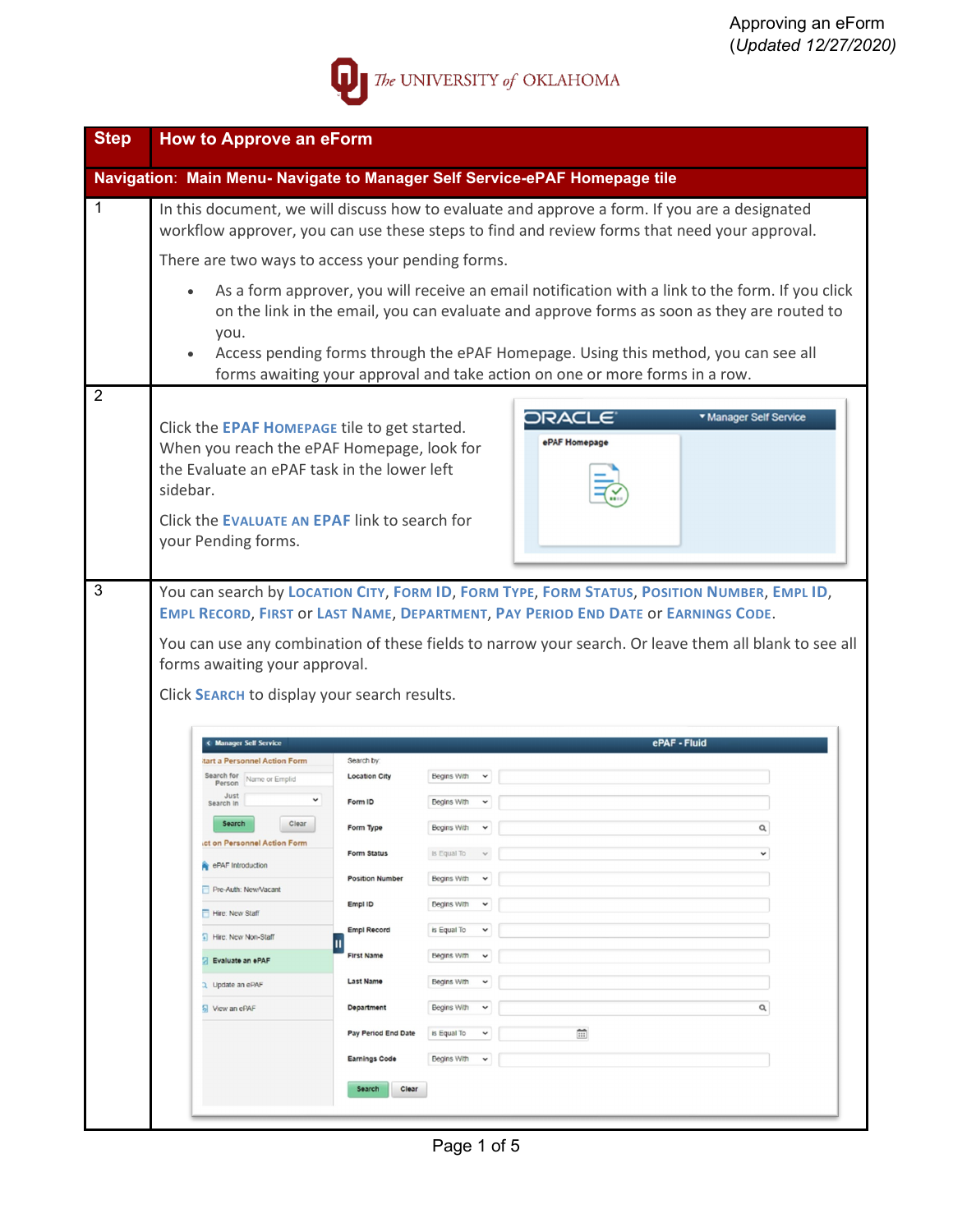

| <b>Step</b>    | <b>How to Approve an eForm</b>                                                                                                                                                                                                                                                                                                                                                           |
|----------------|------------------------------------------------------------------------------------------------------------------------------------------------------------------------------------------------------------------------------------------------------------------------------------------------------------------------------------------------------------------------------------------|
|                | Navigation: Main Menu- Navigate to Manager Self Service-ePAF Homepage tile                                                                                                                                                                                                                                                                                                               |
| 1              | In this document, we will discuss how to evaluate and approve a form. If you are a designated<br>workflow approver, you can use these steps to find and review forms that need your approval.                                                                                                                                                                                            |
|                | There are two ways to access your pending forms.                                                                                                                                                                                                                                                                                                                                         |
|                | As a form approver, you will receive an email notification with a link to the form. If you click<br>$\bullet$<br>on the link in the email, you can evaluate and approve forms as soon as they are routed to<br>you.<br>Access pending forms through the ePAF Homepage. Using this method, you can see all<br>forms awaiting your approval and take action on one or more forms in a row. |
| $\overline{2}$ |                                                                                                                                                                                                                                                                                                                                                                                          |
|                | <b>v</b> Manager Self Service<br>ORAC<br>Click the EPAF HOMEPAGE tile to get started.<br>ePAF Homepage<br>When you reach the ePAF Homepage, look for<br>the Evaluate an ePAF task in the lower left<br>sidebar.                                                                                                                                                                          |
|                | Click the EVALUATE AN EPAF link to search for<br>your Pending forms.                                                                                                                                                                                                                                                                                                                     |
|                | You can search by LOCATION CITY, FORM ID, FORM TYPE, FORM STATUS, POSITION NUMBER, EMPL ID,<br>EMPL RECORD, FIRST OF LAST NAME, DEPARTMENT, PAY PERIOD END DATE OF EARNINGS CODE.<br>You can use any combination of these fields to narrow your search. Or leave them all blank to see all<br>forms awaiting your approval.<br>Click SEARCH to display your search results.              |
|                | ePAF - Fluid<br><b>Manager Self Service</b>                                                                                                                                                                                                                                                                                                                                              |
|                | tart a Personnel Action Form<br>Search by                                                                                                                                                                                                                                                                                                                                                |
|                | Search for Name or Emplid<br><b>Location City</b><br>Begins With<br>Person<br>Just                                                                                                                                                                                                                                                                                                       |
|                | Form ID<br>Begins With<br>Search In<br>Search<br>Clear                                                                                                                                                                                                                                                                                                                                   |
|                | Q<br>Form Type<br>Begins With<br>$\check{ }$<br>ct on Personnel Action Form                                                                                                                                                                                                                                                                                                              |
|                | Form Status<br>is Equal To<br>$\checkmark$<br>ePAF Introduction                                                                                                                                                                                                                                                                                                                          |
|                | <b>Position Number</b><br>Begins With<br>$\checkmark$<br>Pre-Auth: New/Vacant                                                                                                                                                                                                                                                                                                            |
|                | Empl ID<br>Begins With<br>$\check{ }$<br>Hire: New Staff                                                                                                                                                                                                                                                                                                                                 |
|                | <b>Empl Record</b><br>is Equal To<br>$\checkmark$<br>Hire: New Non-Staff                                                                                                                                                                                                                                                                                                                 |
|                | <b>First Name</b><br>Begins With<br>$\check{ }$<br>Evaluate an ePAF                                                                                                                                                                                                                                                                                                                      |
|                | Last Name<br>Begins With<br>$\check{ }$<br>Update an ePAF                                                                                                                                                                                                                                                                                                                                |
|                | Department<br>$\alpha$<br>View an ePAF<br>Begins With<br>$\check{ }$                                                                                                                                                                                                                                                                                                                     |
|                | 笽<br>Pay Period End Date<br>is Equal To<br>$\checkmark$                                                                                                                                                                                                                                                                                                                                  |
|                | <b>Earnings Code</b><br>Begins With<br>$\checkmark$                                                                                                                                                                                                                                                                                                                                      |
|                | Search<br>Clear                                                                                                                                                                                                                                                                                                                                                                          |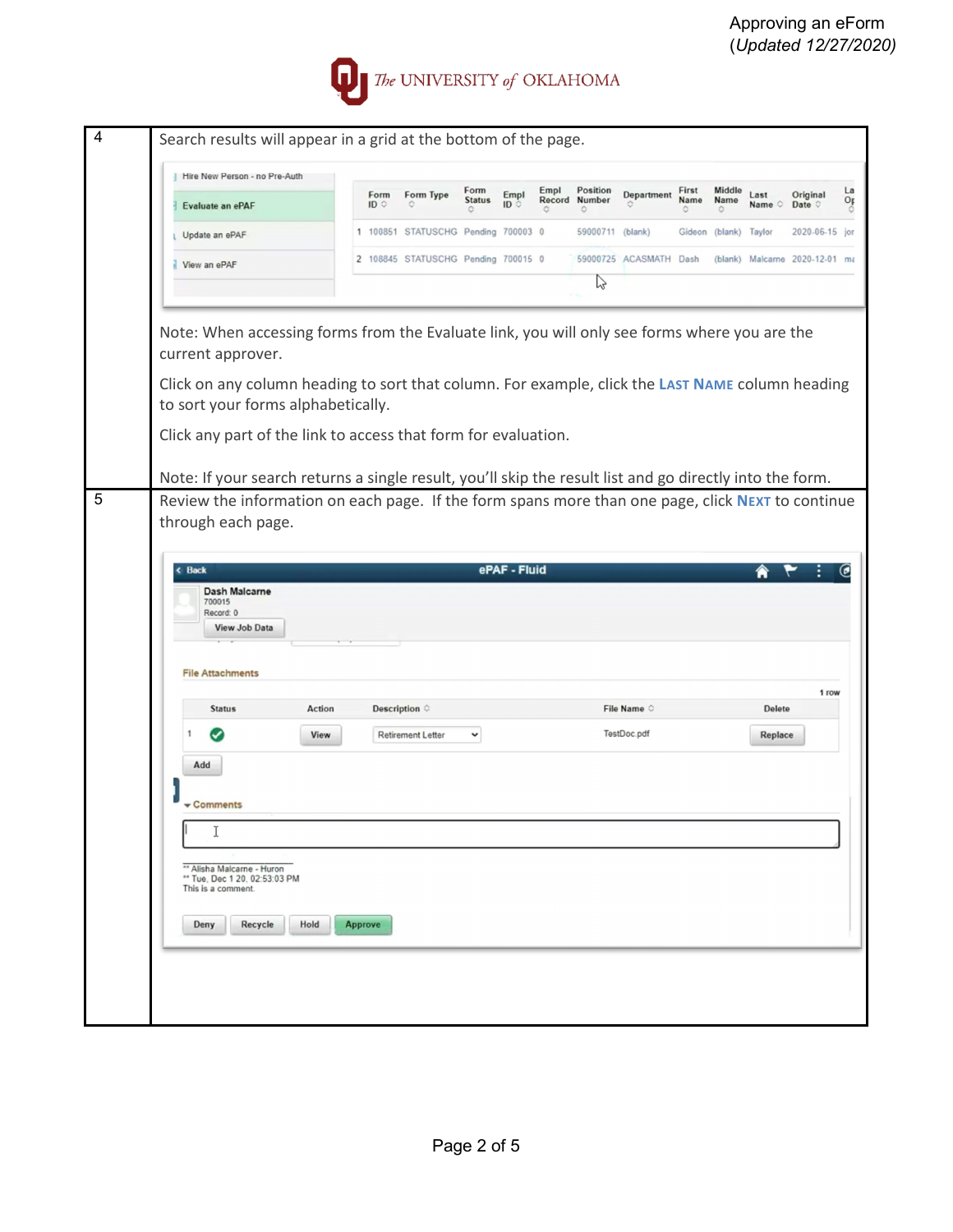

| $\overline{4}$ | Search results will appear in a grid at the bottom of the page.                                                                        |        |                |                                     |                            |            |      |                                |                        |                    |                |                      |                                |          |
|----------------|----------------------------------------------------------------------------------------------------------------------------------------|--------|----------------|-------------------------------------|----------------------------|------------|------|--------------------------------|------------------------|--------------------|----------------|----------------------|--------------------------------|----------|
|                | Hire New Person - no Pre-Auth                                                                                                          |        |                |                                     |                            |            |      |                                |                        |                    |                |                      |                                |          |
|                | Evaluate an ePAF                                                                                                                       |        | Form<br>ID     | Form Type                           | Form<br><b>Status</b><br>O | Empl<br>ID | Empl | Position<br>Record Number<br>O | Department             | First<br>Name<br>٥ | Middle<br>Name | Last<br>Name $\circ$ | Original<br>Date O             | La<br>Op |
|                | Update an ePAF                                                                                                                         |        |                | 1 100851 STATUSCHG Pending 700003 0 |                            |            |      | 59000711 (blank)               |                        | Gideon             | (blank)        | Taylor               | 2020-06-15 jor                 |          |
|                | View an ePAF                                                                                                                           |        |                | 2 108845 STATUSCHG Pending 700015 0 |                            |            |      | B                              | 59000725 ACASMATH Dash |                    |                |                      | (blank) Malcarne 2020-12-01 ma |          |
|                |                                                                                                                                        |        |                |                                     |                            |            |      |                                |                        |                    |                |                      |                                |          |
|                | Note: When accessing forms from the Evaluate link, you will only see forms where you are the<br>current approver.                      |        |                |                                     |                            |            |      |                                |                        |                    |                |                      |                                |          |
|                | Click on any column heading to sort that column. For example, click the LAST NAME column heading<br>to sort your forms alphabetically. |        |                |                                     |                            |            |      |                                |                        |                    |                |                      |                                |          |
|                | Click any part of the link to access that form for evaluation.                                                                         |        |                |                                     |                            |            |      |                                |                        |                    |                |                      |                                |          |
|                | Note: If your search returns a single result, you'll skip the result list and go directly into the form.                               |        |                |                                     |                            |            |      |                                |                        |                    |                |                      |                                |          |
| 5              | Review the information on each page. If the form spans more than one page, click NEXT to continue<br>through each page.                |        |                |                                     |                            |            |      |                                |                        |                    |                |                      |                                |          |
|                | <b>Dash Malcarne</b><br>700015<br>Record: 0<br>View Job Data<br><b>File Attachments</b>                                                |        |                |                                     |                            |            |      |                                |                        |                    |                |                      | 1 row                          |          |
|                | <b>Status</b>                                                                                                                          | Action |                | Description $\diamond$              |                            |            |      |                                | File Name O            |                    |                | <b>Delete</b>        |                                |          |
|                | Add                                                                                                                                    | View   |                | <b>Retirement Letter</b>            | $\check{~}$                |            |      |                                | TestDoc.pdf            |                    |                | Replace              |                                |          |
|                | <b>Comments</b>                                                                                                                        |        |                |                                     |                            |            |      |                                |                        |                    |                |                      |                                |          |
|                | I                                                                                                                                      |        |                |                                     |                            |            |      |                                |                        |                    |                |                      |                                |          |
|                | ** Alisha Malcarne - Huron<br>** Tue, Dec 1 20, 02:53:03 PM<br>This is a comment.                                                      |        |                |                                     |                            |            |      |                                |                        |                    |                |                      |                                |          |
|                | Recycle<br>Deny                                                                                                                        | Hold   | <b>Approve</b> |                                     |                            |            |      |                                |                        |                    |                |                      |                                |          |
|                |                                                                                                                                        |        |                |                                     |                            |            |      |                                |                        |                    |                |                      |                                |          |
|                |                                                                                                                                        |        |                |                                     |                            |            |      |                                |                        |                    |                |                      |                                |          |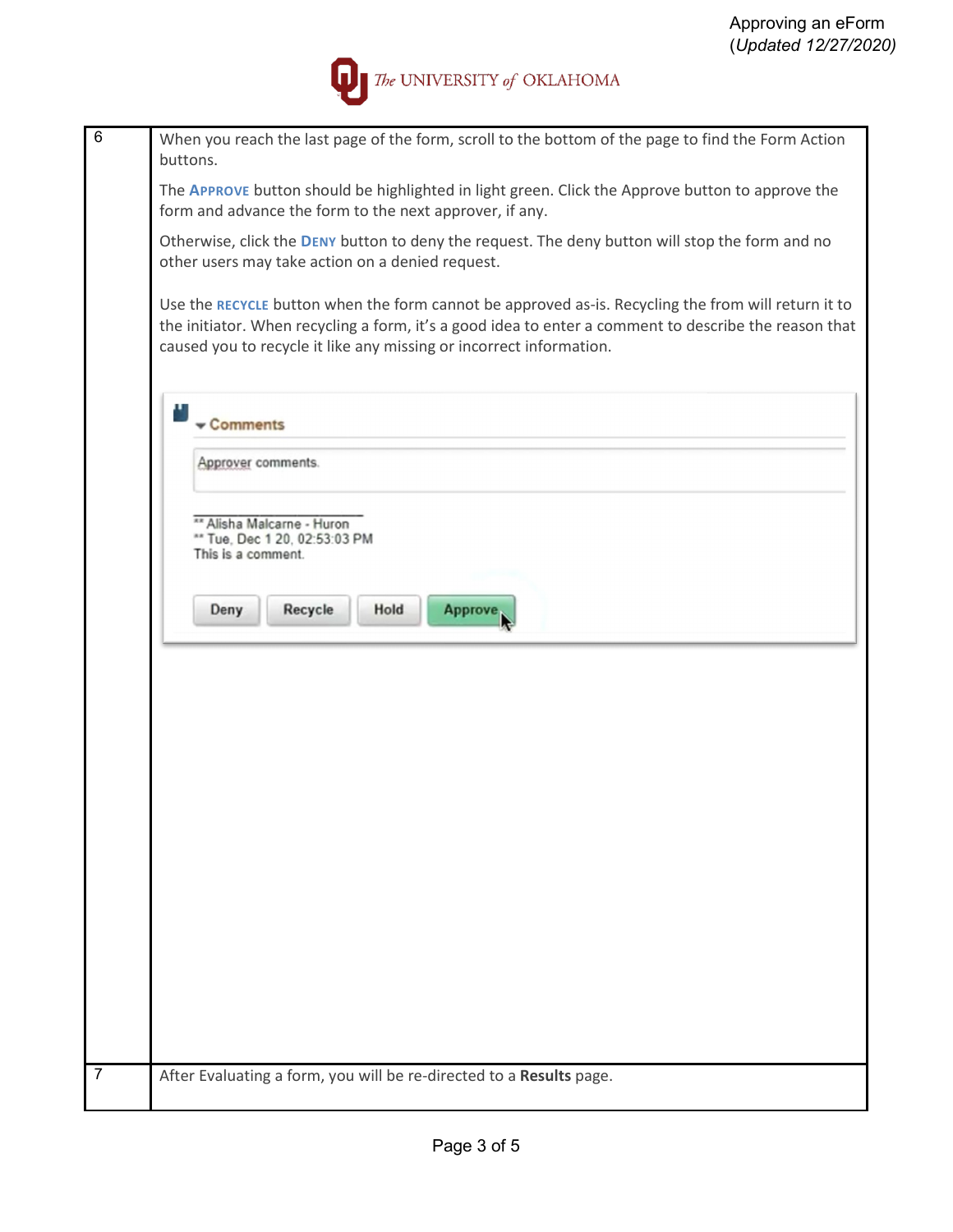

| 6              | When you reach the last page of the form, scroll to the bottom of the page to find the Form Action<br>buttons.                                                                                                                                                                      |
|----------------|-------------------------------------------------------------------------------------------------------------------------------------------------------------------------------------------------------------------------------------------------------------------------------------|
|                | The APPROVE button should be highlighted in light green. Click the Approve button to approve the<br>form and advance the form to the next approver, if any.                                                                                                                         |
|                | Otherwise, click the DENY button to deny the request. The deny button will stop the form and no<br>other users may take action on a denied request.                                                                                                                                 |
|                | Use the RECYCLE button when the form cannot be approved as-is. Recycling the from will return it to<br>the initiator. When recycling a form, it's a good idea to enter a comment to describe the reason that<br>caused you to recycle it like any missing or incorrect information. |
|                | Comments                                                                                                                                                                                                                                                                            |
|                | Approver comments.                                                                                                                                                                                                                                                                  |
|                | ** Alisha Malcarne - Huron<br>** Tue, Dec 1 20, 02:53:03 PM<br>This is a comment.                                                                                                                                                                                                   |
|                | Recycle<br>Deny<br>Hold<br><b>Approve</b>                                                                                                                                                                                                                                           |
|                |                                                                                                                                                                                                                                                                                     |
|                |                                                                                                                                                                                                                                                                                     |
|                |                                                                                                                                                                                                                                                                                     |
|                |                                                                                                                                                                                                                                                                                     |
|                |                                                                                                                                                                                                                                                                                     |
|                |                                                                                                                                                                                                                                                                                     |
| $\overline{7}$ |                                                                                                                                                                                                                                                                                     |
|                | After Evaluating a form, you will be re-directed to a Results page.                                                                                                                                                                                                                 |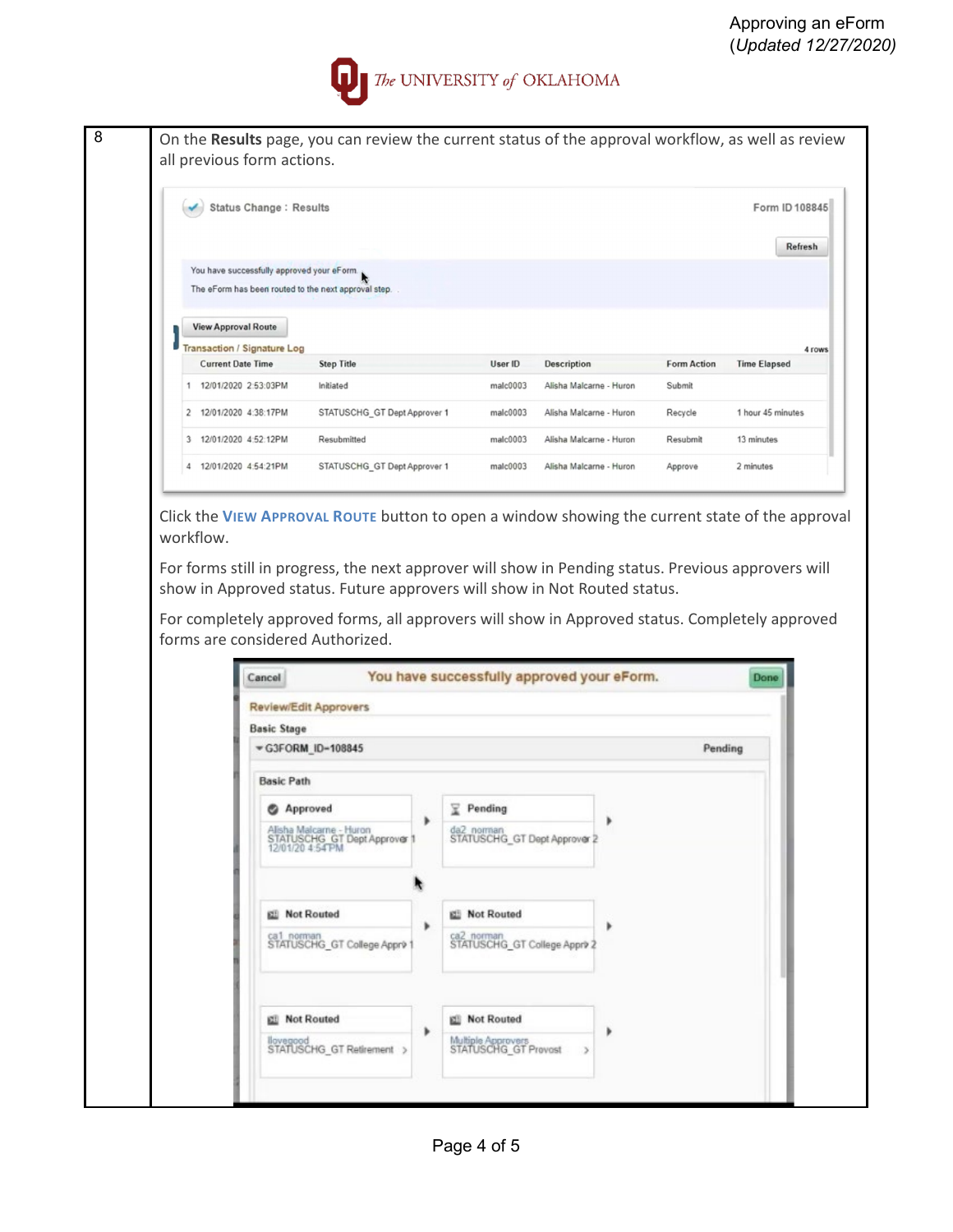

| <b>Status Change: Results</b>                                  |                              |          |                         |             | Form ID 108845                |
|----------------------------------------------------------------|------------------------------|----------|-------------------------|-------------|-------------------------------|
|                                                                |                              |          |                         |             |                               |
|                                                                |                              |          |                         |             | Refresh                       |
| You have successfully approved your eForm.                     |                              |          |                         |             |                               |
| The eForm has been routed to the next approval step.           |                              |          |                         |             |                               |
|                                                                |                              |          |                         |             |                               |
|                                                                |                              |          |                         |             |                               |
|                                                                |                              |          |                         |             |                               |
| <b>View Approval Route</b>                                     |                              |          |                         |             |                               |
| <b>Transaction / Signature Log</b><br><b>Current Date Time</b> | <b>Step Title</b>            | User ID  | <b>Description</b>      | Form Action | 4 rows<br><b>Time Elapsed</b> |
| 12/01/2020 2:53:03PM                                           | Initiated                    | male0003 | Alisha Malcarne - Huron | Submit      |                               |
| 12/01/2020 4:38:17PM                                           | STATUSCHG GT Dept Approver 1 | malc0003 | Alisha Malcarne - Huron | Recycle     | 1 hour 45 minutes             |
| 12/01/2020 4:52:12PM                                           | Resubmitted                  | malc0003 | Alisha Malcarne - Huron | Resubmit    | 13 minutes                    |

Click the **VIEW APPROVAL ROUTE** button to open a window showing the current state of the approval workflow.

For forms still in progress, the next approver will show in Pending status. Previous approvers will show in Approved status. Future approvers will show in Not Routed status.

For completely approved forms, all approvers will show in Approved status. Completely approved forms are considered Authorized.

| <b>Review/Edit Approvers</b>                                                |   |                                              |         |
|-----------------------------------------------------------------------------|---|----------------------------------------------|---------|
| <b>Basic Stage</b>                                                          |   |                                              |         |
| G3FORM ID-108845                                                            |   |                                              | Pending |
| <b>Basic Path</b>                                                           |   |                                              |         |
| Approved                                                                    |   | $\sqrt{2}$ Pending                           |         |
| Alisha Malcarne - Huron<br>STATUSCHG GT Dept Approver 1<br>12/01/20 4:54 PM | ٠ | da2_norman<br>STATUSCHG_GT Dept Approver 2   |         |
|                                                                             |   |                                              |         |
| <b>EE</b> Not Routed                                                        | ٠ | <b>Ell</b> Not Routed                        |         |
| ca1_norman<br>STATUSCHG_GT College Appr> 1                                  |   | ca2_norman<br>STATUSCHG_GT College Appr> 2   |         |
|                                                                             |   |                                              |         |
| <b>Ell</b> Not Routed                                                       | ٠ | <b>Idi</b> Not Routed                        |         |
| llovegood<br>STATUSCHG_GT Retirement >                                      |   | Multiple Approvers<br>STATUSCHG_GT Provost > |         |